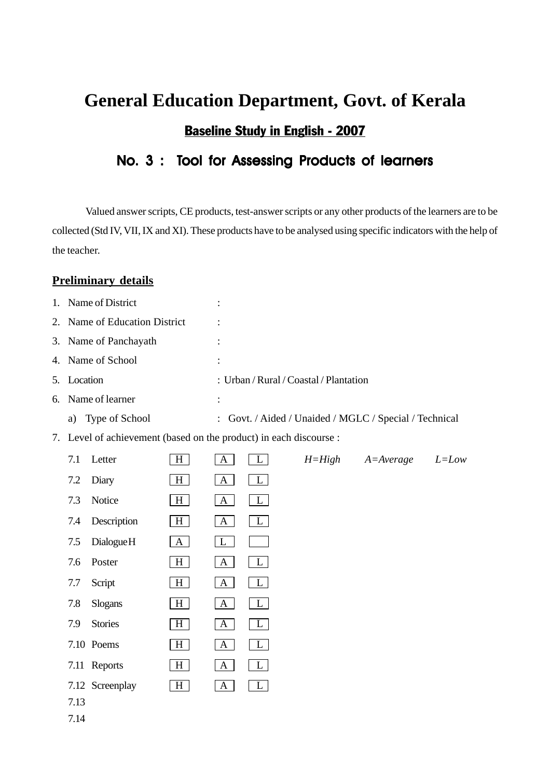# **General Education Department, Govt. of Kerala** Baseline Study in English - 2007

## No. 3 : Tool for Assessing Products of learners

Valued answer scripts, CE products, test-answer scripts or any other products of the learners are to be collected (Std IV, VII, IX and XI). These products have to be analysed using specific indicators with the help of the teacher.

#### **Preliminary details**

| 1. |                            | Name of District                                                   |                | $\ddot{\cdot}$                         |                                                        |            |               |           |  |  |  |  |
|----|----------------------------|--------------------------------------------------------------------|----------------|----------------------------------------|--------------------------------------------------------|------------|---------------|-----------|--|--|--|--|
| 2. | Name of Education District |                                                                    |                |                                        |                                                        |            |               |           |  |  |  |  |
| 3. | Name of Panchayath         |                                                                    |                | $\ddot{\cdot}$                         |                                                        |            |               |           |  |  |  |  |
| 4. |                            | Name of School                                                     |                | $\ddot{\cdot}$                         |                                                        |            |               |           |  |  |  |  |
| 5. | Location                   |                                                                    |                | : Urban / Rural / Coastal / Plantation |                                                        |            |               |           |  |  |  |  |
| 6. |                            | Name of learner                                                    |                | $\ddot{\cdot}$                         |                                                        |            |               |           |  |  |  |  |
|    | a)                         | Type of School                                                     |                |                                        | : Govt. / Aided / Unaided / MGLC / Special / Technical |            |               |           |  |  |  |  |
|    |                            | 7. Level of achievement (based on the product) in each discourse : |                |                                        |                                                        |            |               |           |  |  |  |  |
|    | 7.1                        | Letter                                                             | H <sub>1</sub> | A                                      | L                                                      | $H = High$ | $A = Average$ | $L = Low$ |  |  |  |  |
|    | 7.2                        | Diary                                                              | H              | $\mathbf{A}$                           | L                                                      |            |               |           |  |  |  |  |
|    | 7.3                        | Notice                                                             | $H \mid$       | $\mathbf{A}$                           | $\lfloor$                                              |            |               |           |  |  |  |  |
|    | 7.4                        | Description                                                        | H <sub>1</sub> | A                                      | $\mathbf{L}$                                           |            |               |           |  |  |  |  |
|    | 7.5                        | Dialogue <sub>H</sub>                                              | A              | $\mathbf{L}$                           |                                                        |            |               |           |  |  |  |  |
|    | 7.6                        | Poster                                                             | H              | $\mathbf{A}$                           | $\mathbf{L}$                                           |            |               |           |  |  |  |  |
|    | 7.7                        | Script                                                             | H <sub>1</sub> | $\mathbf{A}$                           | $\mathbf{L}$                                           |            |               |           |  |  |  |  |
|    | 7.8                        | Slogans                                                            | H <sub>1</sub> | $\mathbf{A}$                           | L                                                      |            |               |           |  |  |  |  |
|    | 7.9                        | <b>Stories</b>                                                     | H              | $\mathbf{A}$                           | $\mathbf{L}$                                           |            |               |           |  |  |  |  |
|    |                            | 7.10 Poems                                                         | H <sub>1</sub> | $\mathbf{A}$                           | $\mathbf{L}$                                           |            |               |           |  |  |  |  |
|    |                            | 7.11 Reports                                                       | H              | $\mathbf{A}$                           | $\mathbf{L}$                                           |            |               |           |  |  |  |  |
|    |                            | 7.12 Screenplay                                                    | H <sub>1</sub> | $\mathbf{A}$                           |                                                        |            |               |           |  |  |  |  |
|    | 7.13                       |                                                                    |                |                                        |                                                        |            |               |           |  |  |  |  |
|    | 7.14                       |                                                                    |                |                                        |                                                        |            |               |           |  |  |  |  |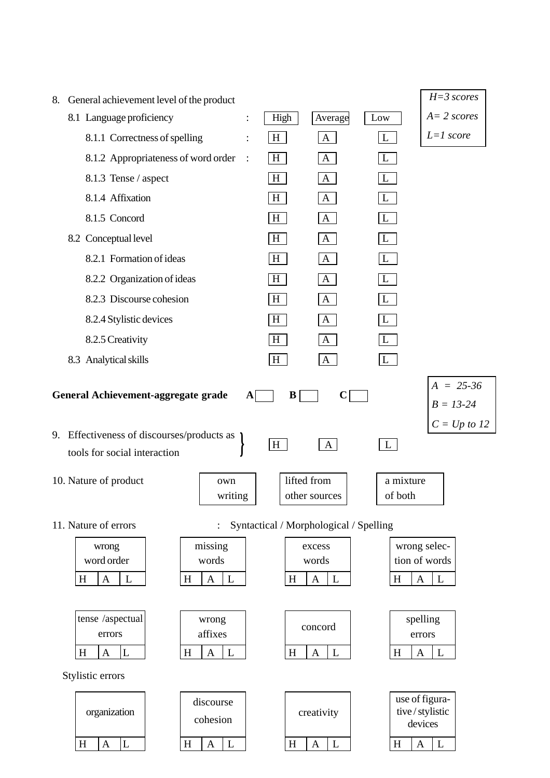|    |                                            |                                     |                |                 |                                        |                                                      | $H = 3$ scores                |
|----|--------------------------------------------|-------------------------------------|----------------|-----------------|----------------------------------------|------------------------------------------------------|-------------------------------|
| 8. | General achievement level of the product   |                                     |                |                 |                                        |                                                      | $A = 2$ scores                |
|    | 8.1 Language proficiency                   |                                     |                | High            | Average                                | Low                                                  |                               |
|    | 8.1.1 Correctness of spelling              |                                     |                | $H_{\parallel}$ | $\mathbf{A}$                           | L                                                    | $L=1$ score                   |
|    | 8.1.2 Appropriateness of word order        |                                     | $\mathbb{R}^2$ | H               | A                                      | L                                                    |                               |
|    | 8.1.3 Tense / aspect                       |                                     |                | H               | $\mathbf{A}$                           | L                                                    |                               |
|    | 8.1.4 Affixation                           |                                     |                | H               | $\mathbf{A}$                           | L                                                    |                               |
|    | 8.1.5 Concord                              |                                     |                | H               | $\mathbf{A}$                           | $\mathbf{L}$                                         |                               |
|    | 8.2 Conceptual level                       |                                     |                | H               | $\mathbf{A}$                           | L                                                    |                               |
|    | 8.2.1 Formation of ideas                   |                                     |                | H               | $\mathbf{A}$                           | L                                                    |                               |
|    | 8.2.2 Organization of ideas                |                                     |                | H               | $\mathbf{A}$                           | L                                                    |                               |
|    | 8.2.3 Discourse cohesion                   |                                     |                | H               | $\mathbf{A}$                           | L                                                    |                               |
|    | 8.2.4 Stylistic devices                    |                                     |                | H               | $\mathbf{A}$                           |                                                      |                               |
|    | 8.2.5 Creativity                           |                                     |                | H               | $\mathbf{A}$                           | L                                                    |                               |
|    | 8.3 Analytical skills                      |                                     |                | H               | $\mathbf{A}$                           | L                                                    |                               |
|    |                                            |                                     |                |                 |                                        |                                                      | $A = 25-36$                   |
|    | General Achievement-aggregate grade        |                                     | A              | B               | C                                      |                                                      | $B = 13 - 24$                 |
|    |                                            |                                     |                |                 |                                        |                                                      | $C = Up to 12$                |
|    | 9. Effectiveness of discourses/products as |                                     |                | H               | A                                      | L                                                    |                               |
|    | tools for social interaction               |                                     |                |                 |                                        |                                                      |                               |
|    | 10. Nature of product                      | own                                 |                |                 | lifted from                            | a mixture                                            |                               |
|    |                                            | writing                             |                |                 | other sources                          | $% \left\vert \mathcal{A}\right\rangle _{0}$ of both |                               |
|    | 11. Nature of errors                       |                                     |                |                 |                                        |                                                      |                               |
|    |                                            |                                     |                |                 | Syntactical / Morphological / Spelling |                                                      |                               |
|    | wrong<br>word order                        | missing<br>words                    |                |                 | excess<br>words                        |                                                      | wrong selec-<br>tion of words |
|    | $\mathbf{A}$<br>L<br>$H_{\rm}$             | $\boldsymbol{\mathsf{A}}$<br>L<br>H |                | H               | $\boldsymbol{\mathsf{A}}$<br>L         | $H_{\rm}$                                            | A<br>$\mathbf{L}$             |
|    |                                            |                                     |                |                 |                                        |                                                      |                               |
|    | tense /aspectual                           | wrong                               |                |                 |                                        |                                                      | spelling                      |
|    | errors                                     | affixes                             |                |                 | concord                                |                                                      | errors                        |
|    | L<br>$\mathbf{A}$<br>$H_{\rm}$             | L<br>H<br>$\mathbf{A}$              |                | H               | L<br>A                                 | $H_{\rm}$                                            | L<br>A                        |
|    | Stylistic errors                           |                                     |                |                 |                                        |                                                      |                               |
|    |                                            | discourse                           |                |                 |                                        |                                                      | use of figura-                |
|    | organization                               | cohesion                            |                |                 | creativity                             |                                                      | tive/stylistic                |
|    |                                            |                                     |                |                 |                                        |                                                      | devices                       |
|    | <sup>L</sup><br>$\mathbf{A}$<br>$H_{\rm}$  | L <br>$\mathbf{A}$<br>H             |                | $H_{\rm}$       | L <br>$\mathbf{A}$                     | H                                                    | $\mathbf{L}$<br>$\mathbf{A}$  |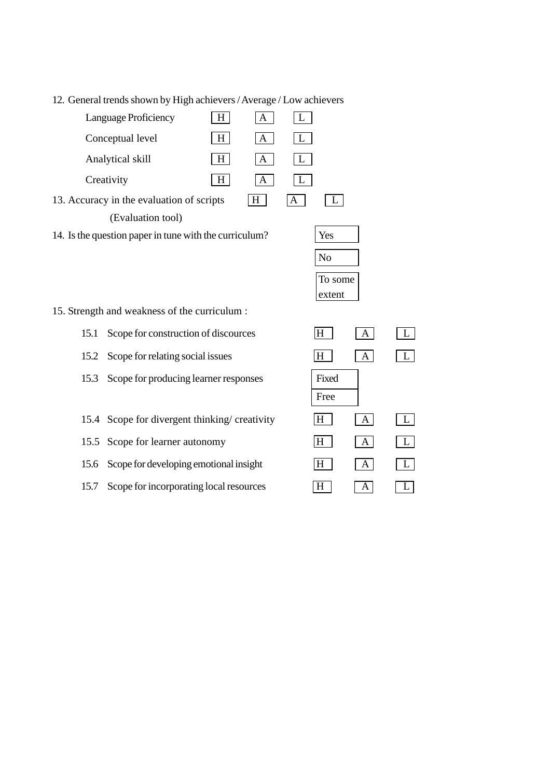12. General trends shown by High achievers / Average / Low achievers

| H                                                      |     |  |  |  |  |  |  |  |
|--------------------------------------------------------|-----|--|--|--|--|--|--|--|
| Conceptual level<br>A                                  |     |  |  |  |  |  |  |  |
| Analytical skill<br>Н                                  |     |  |  |  |  |  |  |  |
| Creativity<br>H<br>А                                   |     |  |  |  |  |  |  |  |
| 13. Accuracy in the evaluation of scripts<br>H         |     |  |  |  |  |  |  |  |
| (Evaluation tool)                                      |     |  |  |  |  |  |  |  |
| 14. Is the question paper in tune with the curriculum? | Yes |  |  |  |  |  |  |  |

| Yes     |  |
|---------|--|
| No      |  |
| To some |  |
| extent  |  |

- 15. Strength and weakness of the curriculum :
	- 15.1 Scope for construction of discources
	- 15.2 Scope for relating social issues
	- 15.3 Scope for producing learner responses
	- 15.4 Scope for divergent thinking/ creativity
	- 15.5 Scope for learner autonomy
	- 15.6 Scope for developing emotional insight
	- 15.7 Scope for incorporating local resources

| H     | $\mathbf{A}$      | L |
|-------|-------------------|---|
| lН    | $\vert A \vert$   | L |
| Fixed |                   |   |
| Free  |                   |   |
|       |                   |   |
| ΙH    | $\vert A \vert$   | L |
| lН    | $\vert A \vert$   | L |
| ΙH    | $\vert$ A $\vert$ | L |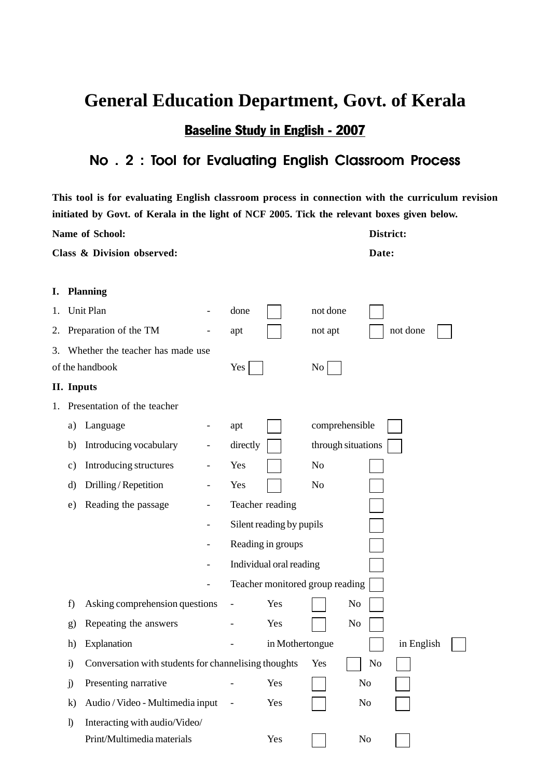## **General Education Department, Govt. of Kerala**

Baseline Study in English - 2007

### No. 2 : Tool for Evaluating English Classroom Process

**This tool is for evaluating English classroom process in connection with the curriculum revision initiated by Govt. of Kerala in the light of NCF 2005. Tick the relevant boxes given below.**

|    |               | Name of School:                                      |                          |                          |                                 |                | District:          |            |  |
|----|---------------|------------------------------------------------------|--------------------------|--------------------------|---------------------------------|----------------|--------------------|------------|--|
|    |               | Class & Division observed:                           |                          |                          |                                 |                | Date:              |            |  |
|    |               |                                                      |                          |                          |                                 |                |                    |            |  |
| I. |               | <b>Planning</b>                                      |                          |                          |                                 |                |                    |            |  |
| 1. |               | Unit Plan                                            |                          | done                     |                                 | not done       |                    |            |  |
| 2. |               | Preparation of the TM                                |                          | apt                      |                                 | not apt        |                    | not done   |  |
| 3. |               | Whether the teacher has made use                     |                          |                          |                                 |                |                    |            |  |
|    |               | of the handbook                                      |                          | Yes                      |                                 | No             |                    |            |  |
|    | II. Inputs    |                                                      |                          |                          |                                 |                |                    |            |  |
| 1. |               | Presentation of the teacher                          |                          |                          |                                 |                |                    |            |  |
|    | a)            | Language                                             |                          | apt                      |                                 | comprehensible |                    |            |  |
|    | b)            | Introducing vocabulary                               |                          | directly                 |                                 |                | through situations |            |  |
|    | $\mathbf{c})$ | Introducing structures                               |                          | Yes                      |                                 | No             |                    |            |  |
|    | d)            | Drilling / Repetition                                | $\overline{\phantom{0}}$ | Yes                      |                                 | No             |                    |            |  |
|    | e)            | Reading the passage                                  |                          |                          | Teacher reading                 |                |                    |            |  |
|    |               |                                                      | $\qquad \qquad -$        |                          | Silent reading by pupils        |                |                    |            |  |
|    |               |                                                      |                          |                          | Reading in groups               |                |                    |            |  |
|    |               |                                                      |                          |                          | Individual oral reading         |                |                    |            |  |
|    |               |                                                      |                          |                          | Teacher monitored group reading |                |                    |            |  |
|    | f)            | Asking comprehension questions                       |                          |                          | Yes                             |                | No                 |            |  |
|    | g)            | Repeating the answers                                |                          |                          | Yes                             |                | No                 |            |  |
|    | h)            | Explanation                                          |                          |                          | in Mothertongue                 |                |                    | in English |  |
|    | $\ddot{i}$    | Conversation with students for channelising thoughts |                          |                          |                                 | Yes            | No                 |            |  |
|    | $\mathbf{j}$  | Presenting narrative                                 |                          |                          | Yes                             |                | N <sub>o</sub>     |            |  |
|    | $\bf k)$      | Audio / Video - Multimedia input                     |                          | $\overline{\phantom{a}}$ | Yes                             |                | No                 |            |  |
|    | $\mathbf{I}$  | Interacting with audio/Video/                        |                          |                          |                                 |                |                    |            |  |
|    |               | Print/Multimedia materials                           |                          |                          | Yes                             |                | N <sub>0</sub>     |            |  |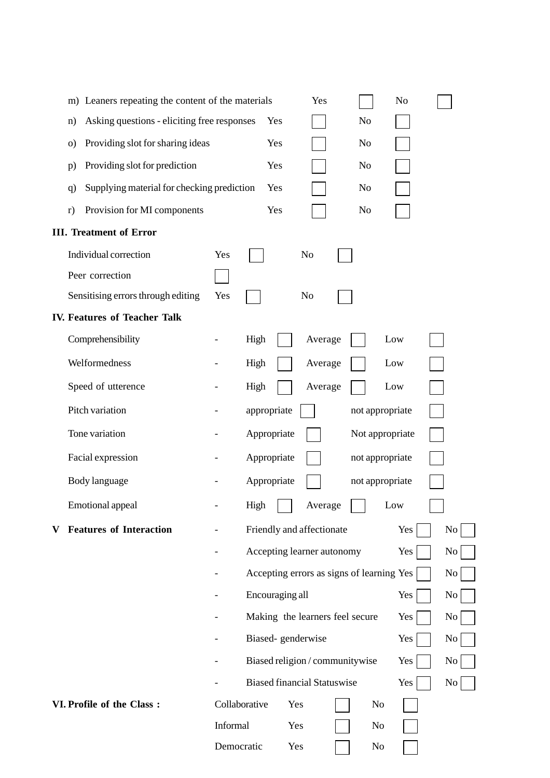| m) Leaners repeating the content of the materials | Yes           |                 | N <sub>o</sub> |                                    |                |                                           |                |
|---------------------------------------------------|---------------|-----------------|----------------|------------------------------------|----------------|-------------------------------------------|----------------|
| Asking questions - eliciting free responses<br>n) |               |                 | Yes            |                                    | No             |                                           |                |
| Providing slot for sharing ideas<br>$\circ$       |               |                 | Yes            |                                    | N <sub>o</sub> |                                           |                |
| Providing slot for prediction<br>p)               |               |                 | Yes            |                                    | N <sub>o</sub> |                                           |                |
| Supplying material for checking prediction<br>q   |               |                 | Yes            |                                    | N <sub>o</sub> |                                           |                |
| Provision for MI components<br>r)                 |               |                 | Yes            |                                    | No             |                                           |                |
| <b>III. Treatment of Error</b>                    |               |                 |                |                                    |                |                                           |                |
| Individual correction                             | Yes           |                 |                | N <sub>o</sub>                     |                |                                           |                |
| Peer correction                                   |               |                 |                |                                    |                |                                           |                |
| Sensitising errors through editing                | Yes           |                 |                | No                                 |                |                                           |                |
| <b>IV. Features of Teacher Talk</b>               |               |                 |                |                                    |                |                                           |                |
| Comprehensibility                                 |               | High            |                | Average                            |                | Low                                       |                |
| Welformedness                                     |               | High            |                | Average                            |                | Low                                       |                |
| Speed of utterence                                |               | High            |                | Average                            |                | Low                                       |                |
| Pitch variation                                   |               | appropriate     |                |                                    |                | not appropriate                           |                |
| Tone variation                                    |               | Appropriate     |                |                                    |                | Not appropriate                           |                |
| Facial expression                                 |               | Appropriate     |                |                                    |                | not appropriate                           |                |
| Body language                                     |               | Appropriate     |                |                                    |                | not appropriate                           |                |
| Emotional appeal                                  |               | High            |                | Average                            |                | Low                                       |                |
| <b>Features of Interaction</b>                    |               |                 |                | Friendly and affectionate          |                | Yes                                       | No             |
|                                                   |               |                 |                | Accepting learner autonomy         |                | Yes                                       | N <sub>0</sub> |
|                                                   |               |                 |                |                                    |                | Accepting errors as signs of learning Yes | No             |
|                                                   |               | Encouraging all |                |                                    |                | Yes                                       | No             |
|                                                   |               |                 |                | Making the learners feel secure    |                | Yes                                       | No             |
|                                                   |               |                 |                | Biased-genderwise                  |                | Yes                                       | No             |
|                                                   |               |                 |                | Biased religion / communitywise    |                | Yes                                       | No             |
|                                                   |               |                 |                | <b>Biased financial Statuswise</b> |                | Yes                                       | No             |
| VI. Profile of the Class:                         | Collaborative |                 | Yes            |                                    | No             |                                           |                |
|                                                   | Informal      |                 | Yes            |                                    | No             |                                           |                |
|                                                   | Democratic    |                 | Yes            |                                    | No             |                                           |                |